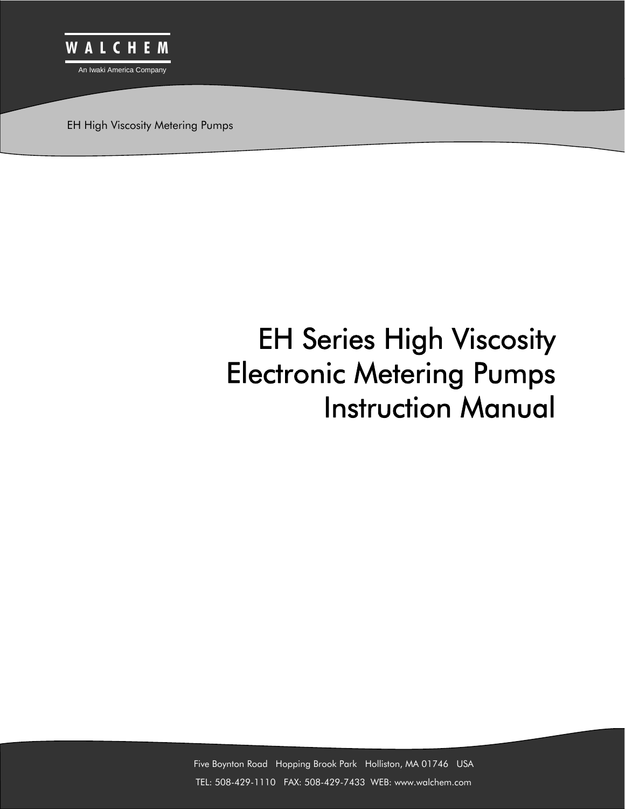

EH High Viscosity Metering Pumps

# EH Series High Viscosity Electronic Metering Pumps Instruction Manual

Five Boynton Road Hopping Brook Park Holliston, MA 01746 USA TEL: 508-429-1110 FAX: 508-429-7433 WEB: www.walchem.com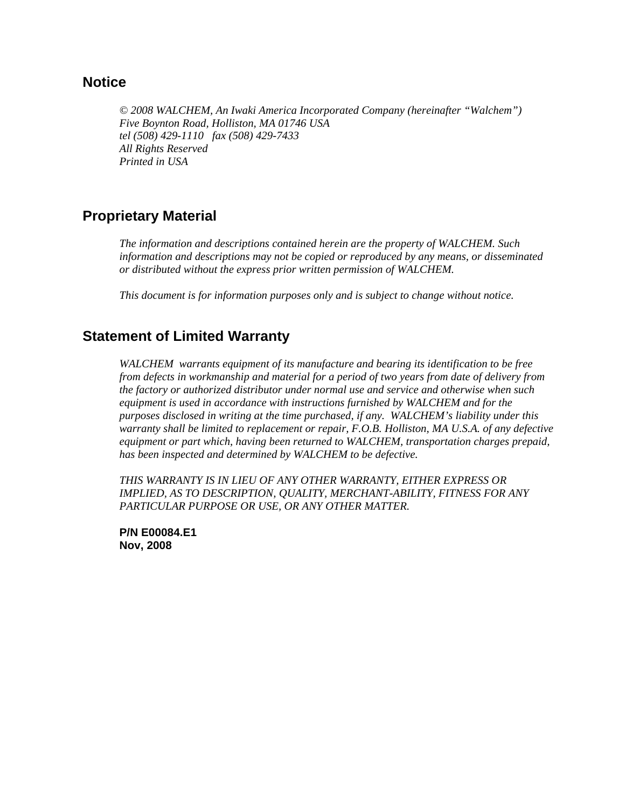## **Notice**

*© 2008 WALCHEM, An Iwaki America Incorporated Company (hereinafter "Walchem") Five Boynton Road, Holliston, MA 01746 USA tel (508) 429-1110 fax (508) 429-7433 All Rights Reserved Printed in USA* 

## **Proprietary Material**

*The information and descriptions contained herein are the property of WALCHEM. Such information and descriptions may not be copied or reproduced by any means, or disseminated or distributed without the express prior written permission of WALCHEM.* 

*This document is for information purposes only and is subject to change without notice.*

## **Statement of Limited Warranty**

*WALCHEM warrants equipment of its manufacture and bearing its identification to be free from defects in workmanship and material for a period of two years from date of delivery from the factory or authorized distributor under normal use and service and otherwise when such equipment is used in accordance with instructions furnished by WALCHEM and for the purposes disclosed in writing at the time purchased, if any. WALCHEM's liability under this warranty shall be limited to replacement or repair, F.O.B. Holliston, MA U.S.A. of any defective equipment or part which, having been returned to WALCHEM, transportation charges prepaid, has been inspected and determined by WALCHEM to be defective.* 

*THIS WARRANTY IS IN LIEU OF ANY OTHER WARRANTY, EITHER EXPRESS OR IMPLIED, AS TO DESCRIPTION, QUALITY, MERCHANT-ABILITY, FITNESS FOR ANY PARTICULAR PURPOSE OR USE, OR ANY OTHER MATTER.* 

**P/N E00084.E1 Nov, 2008**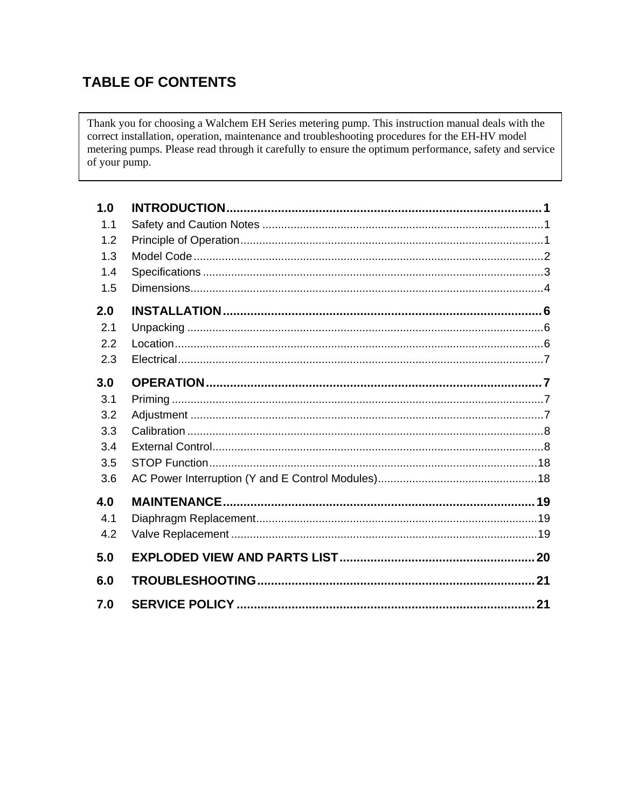# **TABLE OF CONTENTS**

Thank you for choosing a Walchem EH Series metering pump. This instruction manual deals with the correct installation, operation, maintenance and troubleshooting procedures for the EH-HV model metering pumps. Please read through it carefully to ensure the optimum performance, safety and service of your pump.

| 1.0 |    |
|-----|----|
| 1.1 |    |
| 1.2 |    |
| 1.3 |    |
| 1.4 |    |
| 1.5 |    |
| 2.0 |    |
| 2.1 |    |
| 2.2 |    |
| 2.3 |    |
| 3.0 |    |
| 3.1 |    |
| 3.2 |    |
| 3.3 |    |
| 3.4 |    |
| 3.5 |    |
| 3.6 |    |
| 4.0 |    |
| 4.1 |    |
| 4.2 |    |
| 5.0 |    |
| 6.0 |    |
| 7.0 | 21 |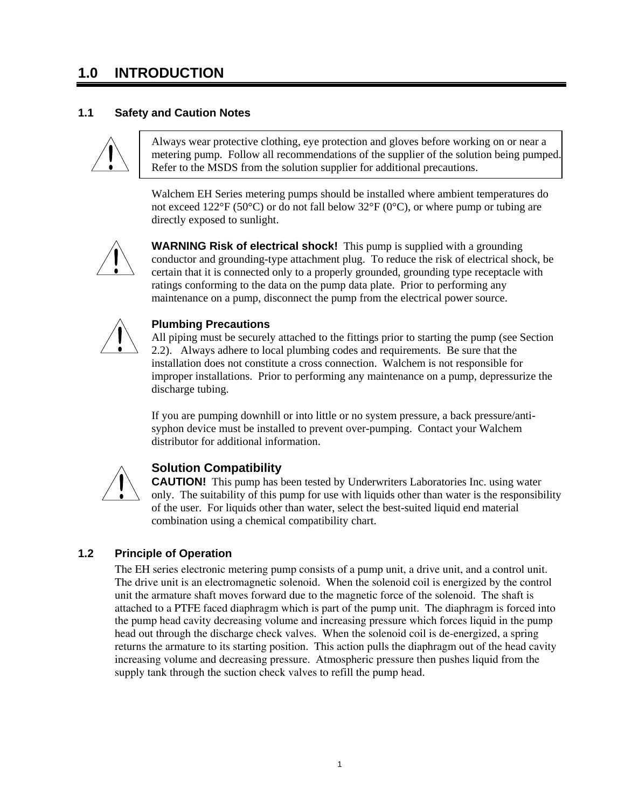# **1.0 INTRODUCTION**

#### **1.1 Safety and Caution Notes**



Always wear protective clothing, eye protection and gloves before working on or near a metering pump. Follow all recommendations of the supplier of the solution being pumped. Refer to the MSDS from the solution supplier for additional precautions.

Walchem EH Series metering pumps should be installed where ambient temperatures do not exceed 122°F (50°C) or do not fall below 32°F (0°C), or where pump or tubing are directly exposed to sunlight.



**WARNING Risk of electrical shock!** This pump is supplied with a grounding conductor and grounding-type attachment plug. To reduce the risk of electrical shock, be certain that it is connected only to a properly grounded, grounding type receptacle with ratings conforming to the data on the pump data plate. Prior to performing any maintenance on a pump, disconnect the pump from the electrical power source.



#### **Plumbing Precautions**

All piping must be securely attached to the fittings prior to starting the pump (see Section 2.2). Always adhere to local plumbing codes and requirements. Be sure that the installation does not constitute a cross connection. Walchem is not responsible for improper installations. Prior to performing any maintenance on a pump, depressurize the discharge tubing.

If you are pumping downhill or into little or no system pressure, a back pressure/antisyphon device must be installed to prevent over-pumping. Contact your Walchem distributor for additional information.



## **Solution Compatibility**

**CAUTION!** This pump has been tested by Underwriters Laboratories Inc. using water only. The suitability of this pump for use with liquids other than water is the responsibility of the user. For liquids other than water, select the best-suited liquid end material combination using a chemical compatibility chart.

#### **1.2 Principle of Operation**

The EH series electronic metering pump consists of a pump unit, a drive unit, and a control unit. The drive unit is an electromagnetic solenoid. When the solenoid coil is energized by the control unit the armature shaft moves forward due to the magnetic force of the solenoid. The shaft is attached to a PTFE faced diaphragm which is part of the pump unit. The diaphragm is forced into the pump head cavity decreasing volume and increasing pressure which forces liquid in the pump head out through the discharge check valves. When the solenoid coil is de-energized, a spring returns the armature to its starting position. This action pulls the diaphragm out of the head cavity increasing volume and decreasing pressure. Atmospheric pressure then pushes liquid from the supply tank through the suction check valves to refill the pump head.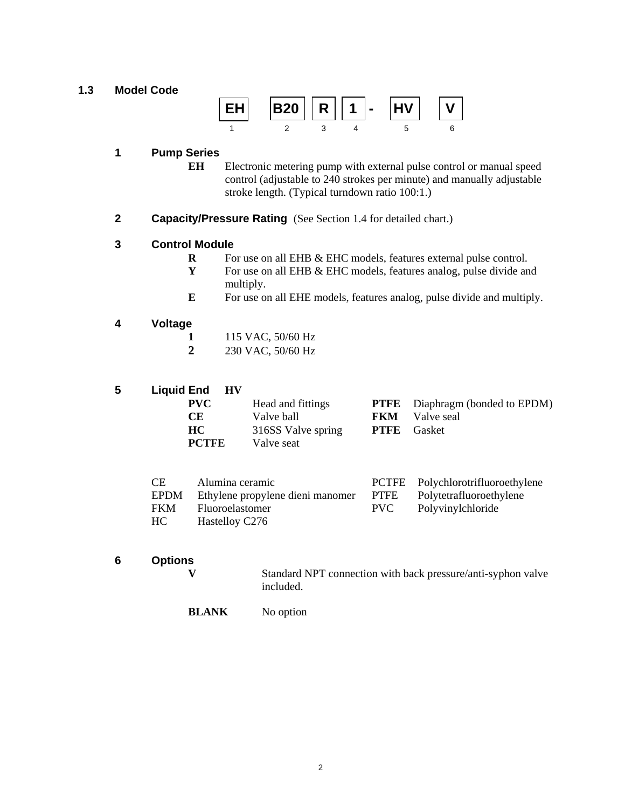#### **1.3 Model Code**



#### **1 Pump Series**

- **EH** Electronic metering pump with external pulse control or manual speed control (adjustable to 240 strokes per minute) and manually adjustable stroke length. (Typical turndown ratio 100:1.)
- **2 Capacity/Pressure Rating** (See Section 1.4 for detailed chart.)

#### **3 Control Module**

- **R** For use on all EHB & EHC models, features external pulse control.
- **Y** For use on all EHB & EHC models, features analog, pulse divide and multiply.
- **E** For use on all EHE models, features analog, pulse divide and multiply.

## **4 Voltage**

- **1** 115 VAC, 50/60 Hz
- **2** 230 VAC, 50/60 Hz

**5 Liquid End HV**

| <b>PVC</b>   | Head and fittings  | <b>PTFE</b> Diaphragm (bonded to EPDM) |
|--------------|--------------------|----------------------------------------|
| CE.          | Valve ball         | <b>FKM</b> Valve seal                  |
| HC.          | 316SS Valve spring | <b>PTFE</b> Gasket                     |
| <b>PCTFE</b> | Valve seat         |                                        |

| CE. | Alumina ceramic                                                    | PCTFE Polychlorotrifluoroethylene |
|-----|--------------------------------------------------------------------|-----------------------------------|
|     | EPDM Ethylene propylene dieni manomer PTFE Polytetrafluoroethylene |                                   |
|     | FKM Fluoroelastomer                                                | PVC Polyvinylchloride             |
| HC. | Hastelloy C276                                                     |                                   |

**6 Options** 

**V** Standard NPT connection with back pressure/anti-syphon valve included.

**BLANK** No option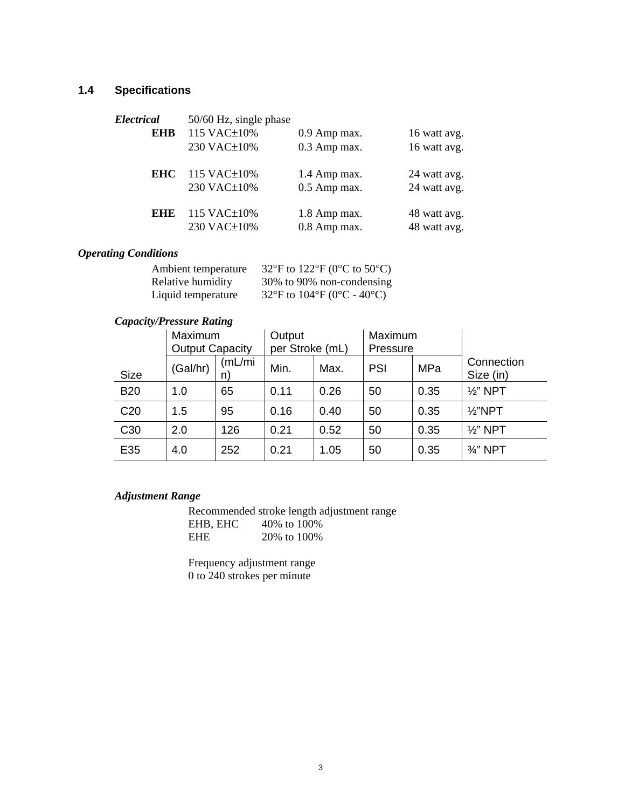## **1.4 Specifications**

| Electrical | 50/60 Hz, single phase |              |              |
|------------|------------------------|--------------|--------------|
| <b>EHB</b> | 115 VAC±10%            | 0.9 Amp max. | 16 watt avg. |
|            | 230 VAC±10%            | 0.3 Amp max. | 16 watt avg. |
| <b>EHC</b> | 115 VAC $\pm$ 10%      | 1.4 Amp max. | 24 watt avg. |
|            | 230 VAC±10%            | 0.5 Amp max. | 24 watt avg. |
| EHE        | 115 VAC±10%            | 1.8 Amp max. | 48 watt avg. |
|            | 230 VAC±10%            | 0.8 Amp max. | 48 watt avg. |

## *Operating Conditions*

| Ambient temperature | 32°F to 122°F (0°C to 50°C) |
|---------------------|-----------------------------|
| Relative humidity   | 30% to 90% non-condensing   |
| Liquid temperature  | 32°F to 104°F (0°C - 40°C)  |

## *Capacity/Pressure Rating*

|                 | Maximum<br><b>Output Capacity</b> |               | Output<br>per Stroke (mL) | Maximum<br>Pressure |            |      |                         |
|-----------------|-----------------------------------|---------------|---------------------------|---------------------|------------|------|-------------------------|
| <b>Size</b>     | (Gal/hr)                          | (mL/mi)<br>n) | Min.                      | Max.                | <b>PSI</b> | MPa  | Connection<br>Size (in) |
| <b>B20</b>      | 1.0                               | 65            | 0.11                      | 0.26                | 50         | 0.35 | $\frac{1}{2}$ " NPT     |
| C <sub>20</sub> | 1.5                               | 95            | 0.16                      | 0.40                | 50         | 0.35 | $\frac{1}{2}$ "NPT      |
| C <sub>30</sub> | 2.0                               | 126           | 0.21                      | 0.52                | 50         | 0.35 | $\frac{1}{2}$ " NPT     |
| E35             | 4.0                               | 252           | 0.21                      | 1.05                | 50         | 0.35 | $\frac{3}{4}$ " NPT     |

## *Adjustment Range*

 Recommended stroke length adjustment range EHB, EHC 40% to 100% EHE 20% to 100%

 Frequency adjustment range 0 to 240 strokes per minute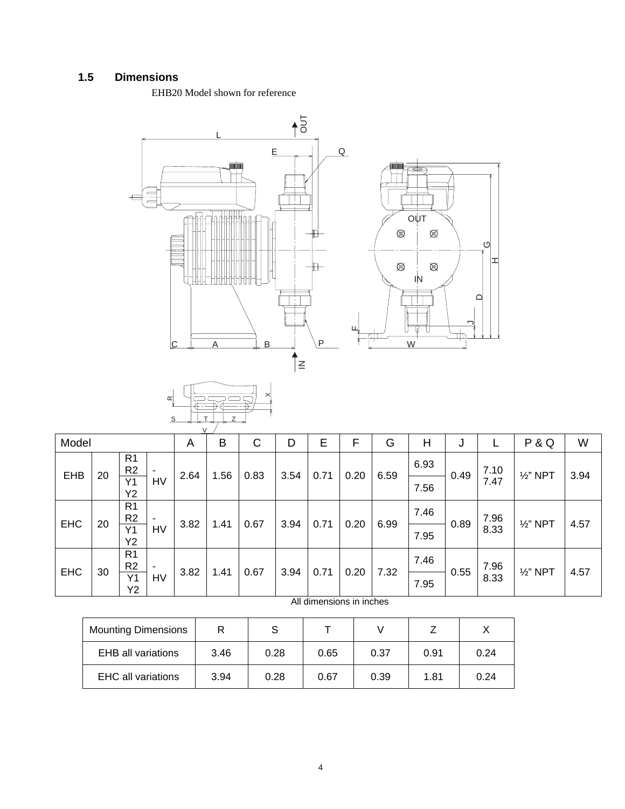## **1.5 Dimensions**

EHB20 Model shown for reference





| Model      |    |                                               |                          | A    | B    | С    | D    | Е    | F    | G    | H    | J    |              | P&Q                 | W    |
|------------|----|-----------------------------------------------|--------------------------|------|------|------|------|------|------|------|------|------|--------------|---------------------|------|
| <b>EHB</b> | 20 | R <sub>1</sub><br>R <sub>2</sub>              | ٠                        |      | 1.56 | 0.83 | 3.54 | 0.71 | 0.20 | 6.59 | 6.93 |      | 7.10<br>7.47 | $\frac{1}{2}$ " NPT | 3.94 |
|            |    | Y1<br><b>Y2</b>                               | HV                       | 2.64 |      |      |      |      |      |      | 7.56 | 0.49 |              |                     |      |
|            | 20 | R <sub>1</sub><br>R <sub>2</sub>              | $\overline{\phantom{a}}$ | 3.82 | 1.41 | 0.67 | 3.94 | 0.71 | 0.20 | 6.99 | 7.46 | 0.89 | 7.96<br>8.33 | $\frac{1}{2}$ " NPT | 4.57 |
| <b>EHC</b> |    | Y1<br>Y2                                      | HV                       |      |      |      |      |      |      |      | 7.95 |      |              |                     |      |
| <b>EHC</b> |    | R <sub>1</sub><br>R <sub>2</sub>              | ٠                        |      |      |      | 3.94 | 0.71 | 0.20 | 7.32 | 7.46 | 0.55 | 7.96         | $\frac{1}{2}$ " NPT | 4.57 |
|            | 30 | 0.67<br>3.82<br>1.41<br><b>HV</b><br>Y1<br>Y2 |                          |      |      |      | 7.95 |      | 8.33 |      |      |      |              |                     |      |

All dimensions in inches

| <b>Mounting Dimensions</b> |      |      |      |      |      |      |
|----------------------------|------|------|------|------|------|------|
| <b>EHB</b> all variations  | 3.46 | 0.28 | 0.65 | 0.37 | 0.91 | 0.24 |
| <b>EHC all variations</b>  | 3.94 | 0.28 | 0.67 | 0.39 | 1.81 | 0.24 |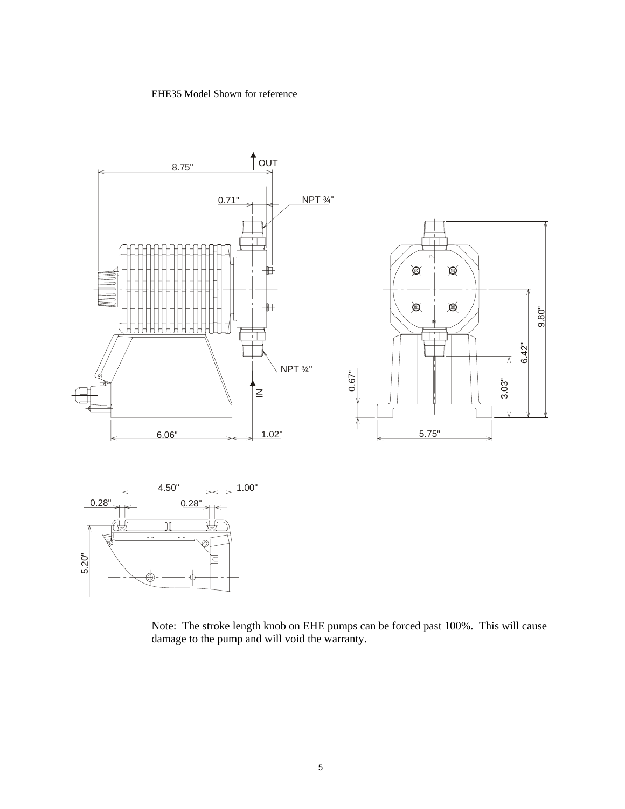#### EHE35 Model Shown for reference



Note: The stroke length knob on EHE pumps can be forced past 100%. This will cause damage to the pump and will void the warranty.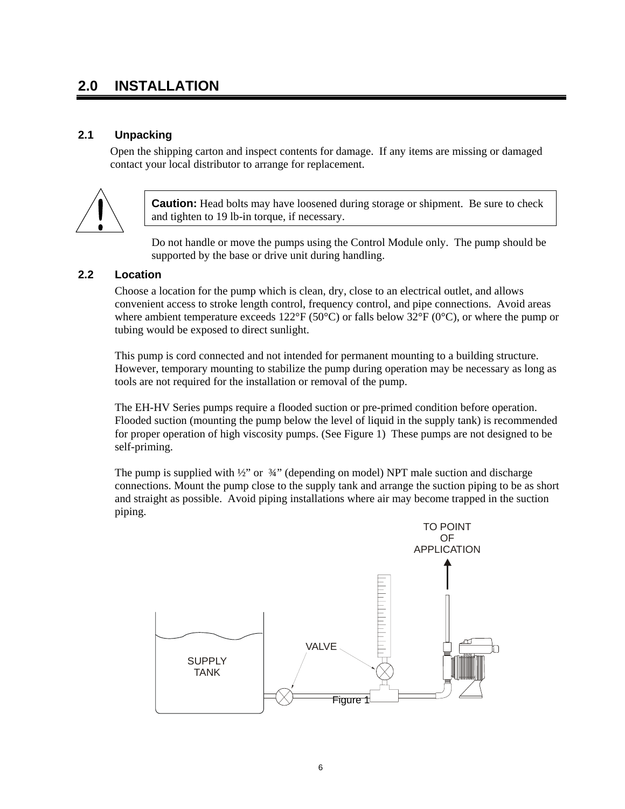# **2.0 INSTALLATION**

 $\overline{a}$ 

## **2.1 Unpacking**

Open the shipping carton and inspect contents for damage. If any items are missing or damaged contact your local distributor to arrange for replacement.



**Caution:** Head bolts may have loosened during storage or shipment. Be sure to check and tighten to 19 lb-in torque, if necessary.

Do not handle or move the pumps using the Control Module only. The pump should be supported by the base or drive unit during handling.

#### **2.2 Location**

Choose a location for the pump which is clean, dry, close to an electrical outlet, and allows convenient access to stroke length control, frequency control, and pipe connections. Avoid areas where ambient temperature exceeds 122 $\rm{^{\circ}C}$  (50 $\rm{^{\circ}C}$ ) or falls below 32 $\rm{^{\circ}F}$  (0 $\rm{^{\circ}C}$ ), or where the pump or tubing would be exposed to direct sunlight.

This pump is cord connected and not intended for permanent mounting to a building structure. However, temporary mounting to stabilize the pump during operation may be necessary as long as tools are not required for the installation or removal of the pump.

The EH-HV Series pumps require a flooded suction or pre-primed condition before operation. Flooded suction (mounting the pump below the level of liquid in the supply tank) is recommended for proper operation of high viscosity pumps. (See Figure 1) These pumps are not designed to be self-priming.

The pump is supplied with  $\frac{1}{2}$ " or  $\frac{3}{4}$ " (depending on model) NPT male suction and discharge connections. Mount the pump close to the supply tank and arrange the suction piping to be as short and straight as possible. Avoid piping installations where air may become trapped in the suction piping.

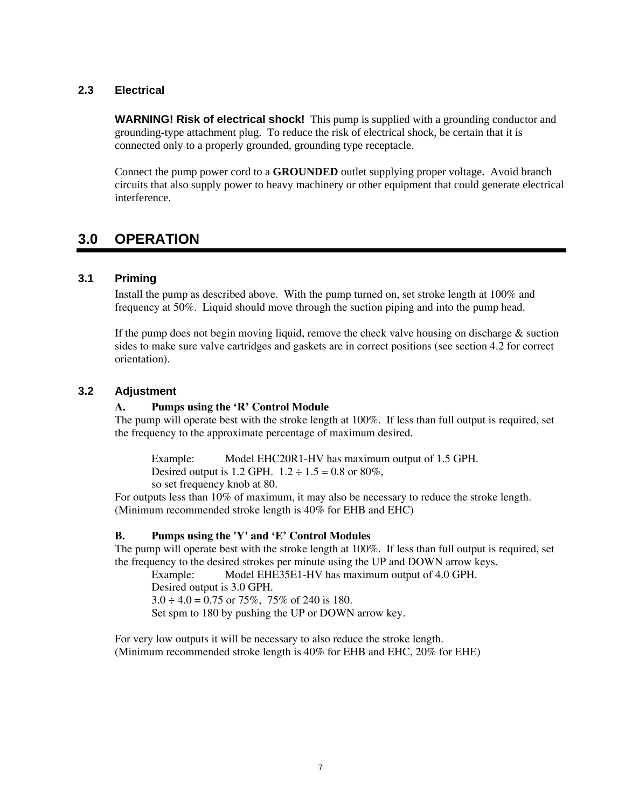#### **2.3 Electrical**

**WARNING! Risk of electrical shock!** This pump is supplied with a grounding conductor and grounding-type attachment plug. To reduce the risk of electrical shock, be certain that it is connected only to a properly grounded, grounding type receptacle.

Connect the pump power cord to a **GROUNDED** outlet supplying proper voltage. Avoid branch circuits that also supply power to heavy machinery or other equipment that could generate electrical interference.

## **3.0 OPERATION**

#### **3.1 Priming**

Install the pump as described above. With the pump turned on, set stroke length at 100% and frequency at 50%. Liquid should move through the suction piping and into the pump head.

If the pump does not begin moving liquid, remove the check valve housing on discharge  $\&$  suction sides to make sure valve cartridges and gaskets are in correct positions (see section 4.2 for correct orientation).

#### **3.2 Adjustment**

#### **A. Pumps using the 'R' Control Module**

The pump will operate best with the stroke length at 100%. If less than full output is required, set the frequency to the approximate percentage of maximum desired.

Example: Model EHC20R1-HV has maximum output of 1.5 GPH. Desired output is 1.2 GPH.  $1.2 \div 1.5 = 0.8$  or 80%, so set frequency knob at 80.

For outputs less than 10% of maximum, it may also be necessary to reduce the stroke length. (Minimum recommended stroke length is 40% for EHB and EHC)

#### **B. Pumps using the 'Y' and 'E' Control Modules**

The pump will operate best with the stroke length at 100%. If less than full output is required, set the frequency to the desired strokes per minute using the UP and DOWN arrow keys.

Example: Model EHE35E1-HV has maximum output of 4.0 GPH. Desired output is 3.0 GPH.  $3.0 \div 4.0 = 0.75$  or 75%, 75% of 240 is 180. Set spm to 180 by pushing the UP or DOWN arrow key.

For very low outputs it will be necessary to also reduce the stroke length. (Minimum recommended stroke length is 40% for EHB and EHC, 20% for EHE)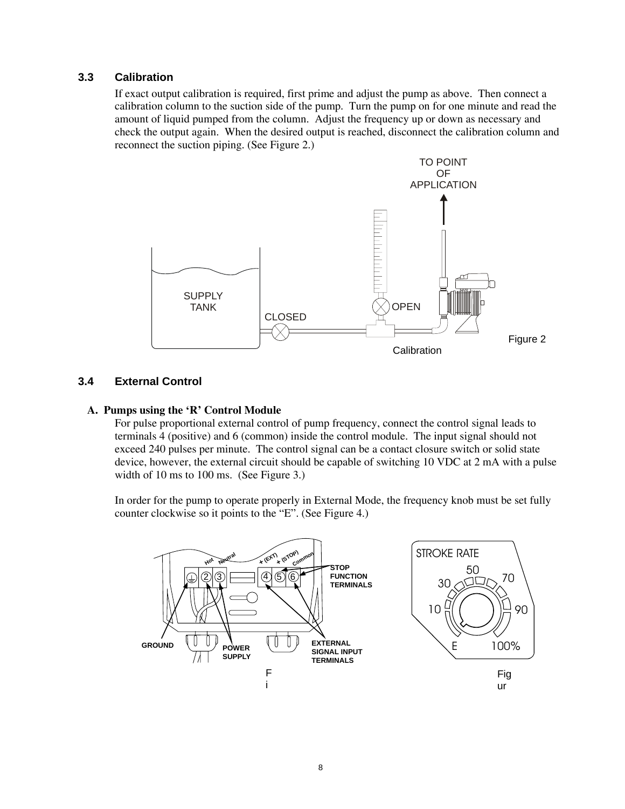#### **3.3 Calibration**

If exact output calibration is required, first prime and adjust the pump as above. Then connect a calibration column to the suction side of the pump. Turn the pump on for one minute and read the amount of liquid pumped from the column. Adjust the frequency up or down as necessary and check the output again. When the desired output is reached, disconnect the calibration column and reconnect the suction piping. (See Figure 2.)



#### **3.4 External Control**

#### **A. Pumps using the 'R' Control Module**

For pulse proportional external control of pump frequency, connect the control signal leads to terminals 4 (positive) and 6 (common) inside the control module. The input signal should not exceed 240 pulses per minute. The control signal can be a contact closure switch or solid state device, however, the external circuit should be capable of switching 10 VDC at 2 mA with a pulse width of 10 ms to 100 ms. (See Figure 3.)

In order for the pump to operate properly in External Mode, the frequency knob must be set fully counter clockwise so it points to the "E". (See Figure 4.)

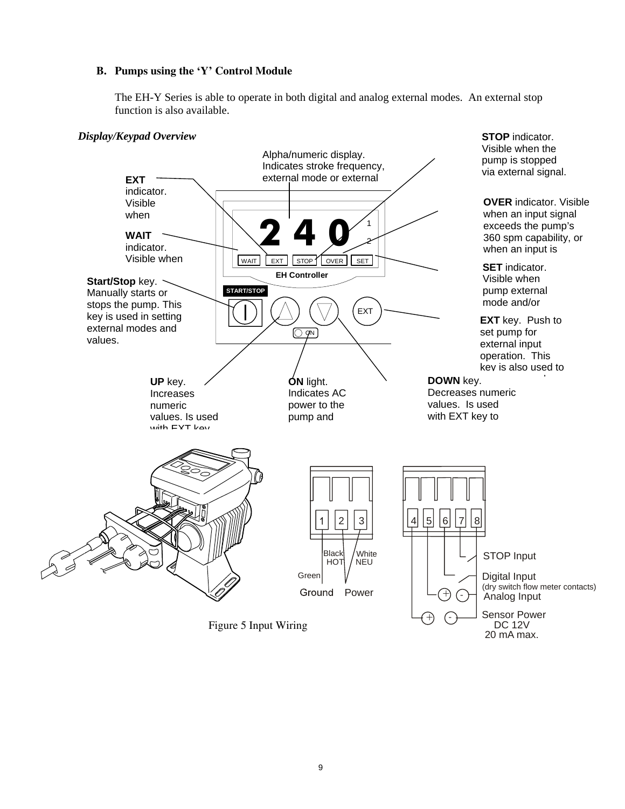#### **B. Pumps using the 'Y' Control Module**

The EH-Y Series is able to operate in both digital and analog external modes. An external stop function is also available.

#### *Display/Keypad Overview*



Figure 5 Input Wiring



**STOP** indicator. Visible when the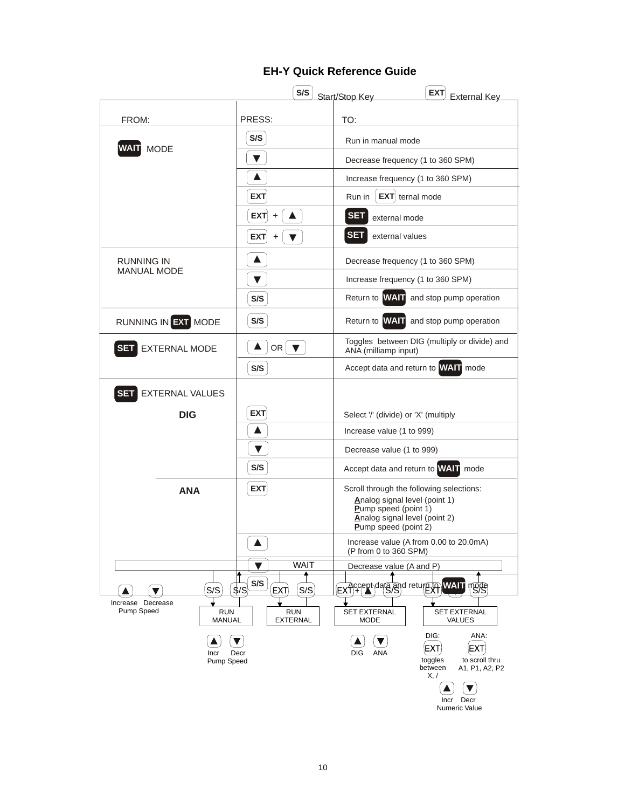## **EH-Y Quick Reference Guide**

|                                      | S/S                                     | <b>EXT</b><br>Start/Stop Key<br><b>External Key</b>                       |  |  |  |
|--------------------------------------|-----------------------------------------|---------------------------------------------------------------------------|--|--|--|
| FROM:                                | PRESS:                                  | TO:                                                                       |  |  |  |
|                                      | S/S                                     | Run in manual mode                                                        |  |  |  |
| <b>WAIT MODE</b>                     | ▼                                       | Decrease frequency (1 to 360 SPM)                                         |  |  |  |
|                                      | A                                       | Increase frequency (1 to 360 SPM)                                         |  |  |  |
|                                      | <b>EXT</b>                              | $EXT$ ternal mode<br>Run in                                               |  |  |  |
|                                      | <b>EXT</b><br>$\ddot{}$                 | <b>SET</b><br>external mode                                               |  |  |  |
|                                      | <b>EXT</b><br>$\blacktriangledown$<br>+ | <b>SET</b><br>external values                                             |  |  |  |
| <b>RUNNING IN</b>                    | ▲                                       | Decrease frequency (1 to 360 SPM)                                         |  |  |  |
| <b>MANUAL MODE</b>                   | ▼                                       | Increase frequency (1 to 360 SPM)                                         |  |  |  |
|                                      | S/S                                     | Return to <b>WAT</b> and stop pump operation                              |  |  |  |
| RUNNING IN EXT MODE                  | S/S                                     | Return to <b>WAT</b> and stop pump operation                              |  |  |  |
| <b>SET</b><br><b>EXTERNAL MODE</b>   | ▲<br>OR $\triangledown$                 | Toggles between DIG (multiply or divide) and<br>ANA (milliamp input)      |  |  |  |
|                                      | S/S                                     | Accept data and return to <b>WAT</b> mode                                 |  |  |  |
| <b>EXTERNAL VALUES</b><br><b>SET</b> |                                         |                                                                           |  |  |  |
| <b>DIG</b>                           | <b>EXT</b>                              | Select '/' (divide) or 'X' (multiply                                      |  |  |  |
|                                      | A                                       | Increase value (1 to 999)                                                 |  |  |  |
|                                      | ▼                                       | Decrease value (1 to 999)                                                 |  |  |  |
|                                      | S/S                                     | Accept data and return to WAIT mode                                       |  |  |  |
| <b>ANA</b>                           | <b>EXT</b>                              | Scroll through the following selections:<br>Analog signal level (point 1) |  |  |  |
|                                      |                                         | <b>Pump speed (point 1)</b><br>Analog signal level (point 2)              |  |  |  |
|                                      |                                         | <b>Pump speed (point 2)</b>                                               |  |  |  |
|                                      | $\blacktriangle$                        | Increase value (A from 0.00 to 20.0mA)<br>(P from 0 to 360 SPM)           |  |  |  |
|                                      | <b>WAIT</b><br>v                        | Decrease value (A and P)                                                  |  |  |  |
| S/S                                  | S/S<br>$\frac{1}{3}$<br>S/S<br>EXT      | <b>WAIT</b> FISPS<br>EXTI <sup>4</sup> Alcorator data and returning       |  |  |  |
| Increase Decrease                    |                                         |                                                                           |  |  |  |
| Pump Speed<br><b>RUN</b><br>MANUAL   | <b>RUN</b><br><b>EXTERNAL</b>           | SET EXTERNAL<br><b>SET EXTERNAL</b><br><b>MODE</b><br><b>VALUES</b>       |  |  |  |
|                                      |                                         | DIG:<br>ANA:                                                              |  |  |  |
| Incr<br>Pump Speed                   | Decr                                    | EXT)<br>EXT<br><b>ANA</b><br>DIG<br>to scroll thru<br>toggles             |  |  |  |
|                                      |                                         | between<br>A1, P1, A2, P2<br>X, /                                         |  |  |  |
|                                      |                                         | Incr Decr                                                                 |  |  |  |
|                                      |                                         | Numeric Value                                                             |  |  |  |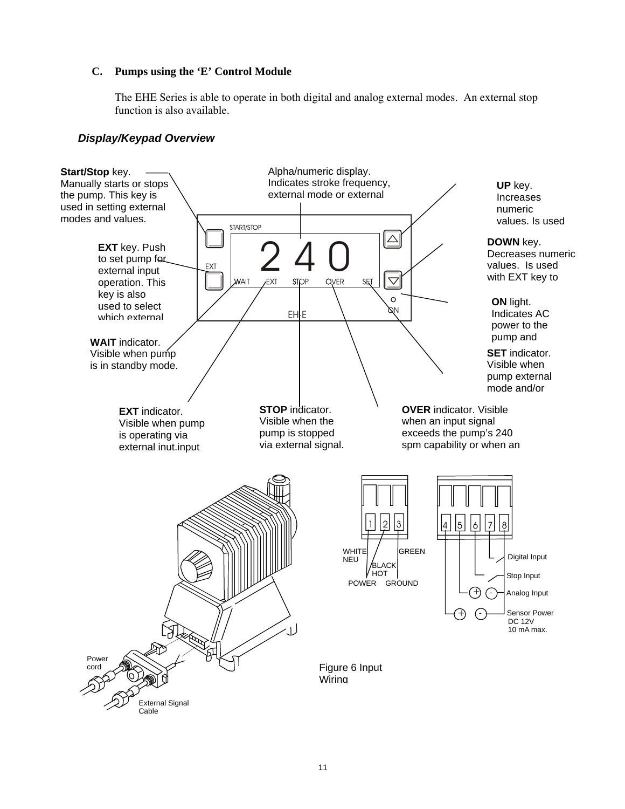#### **C. Pumps using the 'E' Control Module**

The EHE Series is able to operate in both digital and analog external modes. An external stop function is also available.

## *Display/Keypad Overview*

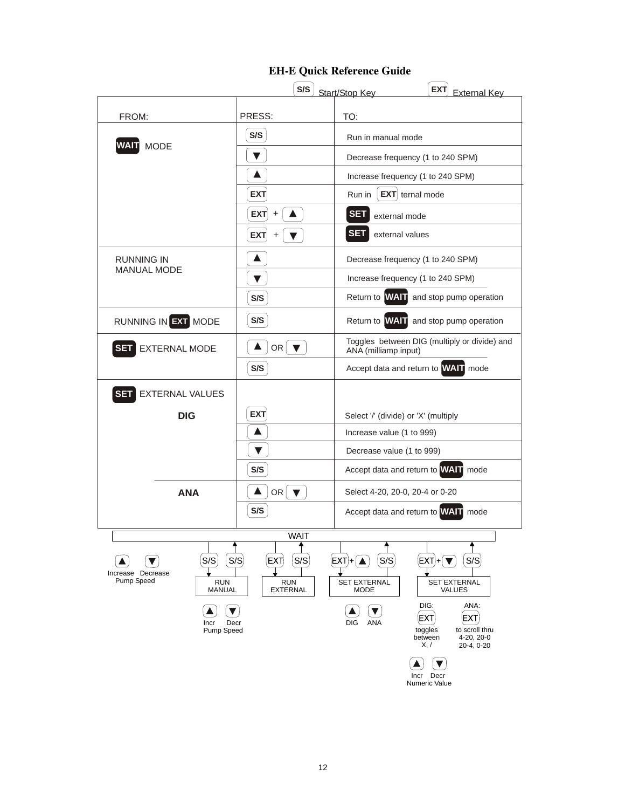

#### **EH-E Quick Reference Guide**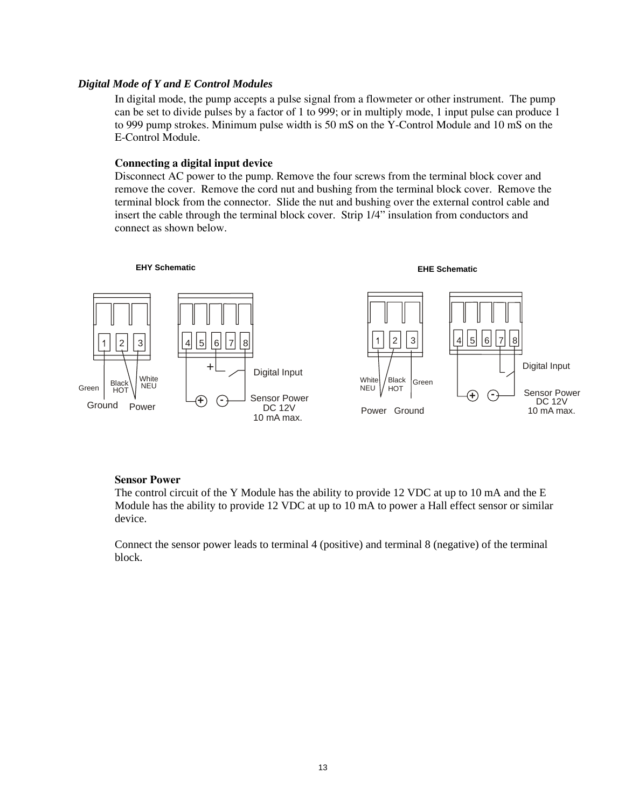#### *Digital Mode of Y and E Control Modules*

In digital mode, the pump accepts a pulse signal from a flowmeter or other instrument. The pump can be set to divide pulses by a factor of 1 to 999; or in multiply mode, 1 input pulse can produce 1 to 999 pump strokes. Minimum pulse width is 50 mS on the Y-Control Module and 10 mS on the E-Control Module.

#### **Connecting a digital input device**

Disconnect AC power to the pump. Remove the four screws from the terminal block cover and remove the cover. Remove the cord nut and bushing from the terminal block cover. Remove the terminal block from the connector. Slide the nut and bushing over the external control cable and insert the cable through the terminal block cover. Strip 1/4" insulation from conductors and connect as shown below.



#### **Sensor Power**

The control circuit of the Y Module has the ability to provide 12 VDC at up to 10 mA and the E Module has the ability to provide 12 VDC at up to 10 mA to power a Hall effect sensor or similar device.

Connect the sensor power leads to terminal 4 (positive) and terminal 8 (negative) of the terminal block.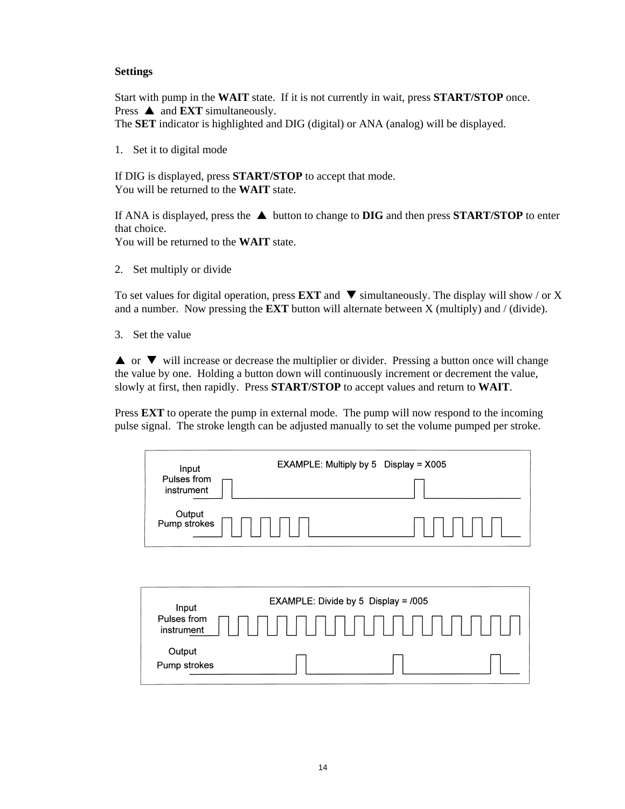#### **Settings**

Start with pump in the **WAIT** state. If it is not currently in wait, press **START/STOP** once. Press  $\triangle$  and **EXT** simultaneously.

The **SET** indicator is highlighted and DIG (digital) or ANA (analog) will be displayed.

1. Set it to digital mode

If DIG is displayed, press **START/STOP** to accept that mode. You will be returned to the **WAIT** state.

If ANA is displayed, press the  $\triangle$  button to change to **DIG** and then press **START/STOP** to enter that choice.

You will be returned to the **WAIT** state.

2. Set multiply or divide

To set values for digital operation, press **EXT** and  $\blacktriangledown$  simultaneously. The display will show / or X and a number. Now pressing the **EXT** button will alternate between X (multiply) and / (divide).

3. Set the value

 $\blacktriangle$  or  $\nabla$  will increase or decrease the multiplier or divider. Pressing a button once will change the value by one. Holding a button down will continuously increment or decrement the value, slowly at first, then rapidly. Press **START/STOP** to accept values and return to **WAIT**.

Press **EXT** to operate the pump in external mode. The pump will now respond to the incoming pulse signal. The stroke length can be adjusted manually to set the volume pumped per stroke.

| Input<br>Pulses from<br>instrument | EXAMPLE: Multiply by 5 Display = $X005$ |
|------------------------------------|-----------------------------------------|
| Output<br>Pump strokes             |                                         |

| Input                     | EXAMPLE: Divide by 5 Display = /005 |
|---------------------------|-------------------------------------|
| Pulses from<br>instrument |                                     |
| Output<br>Pump strokes    |                                     |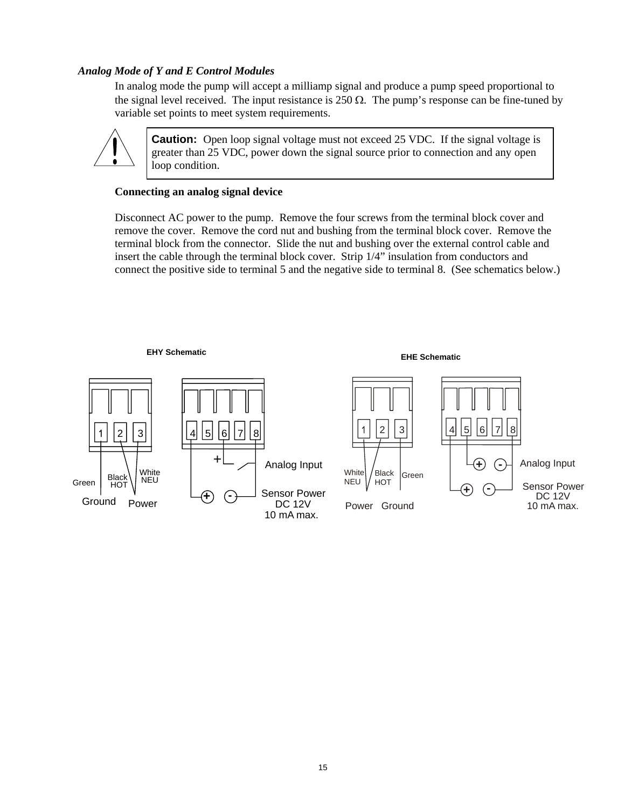#### *Analog Mode of Y and E Control Modules*

In analog mode the pump will accept a milliamp signal and produce a pump speed proportional to the signal level received. The input resistance is 250  $\Omega$ . The pump's response can be fine-tuned by variable set points to meet system requirements.



**Caution:** Open loop signal voltage must not exceed 25 VDC. If the signal voltage is greater than 25 VDC, power down the signal source prior to connection and any open loop condition.

#### **Connecting an analog signal device**

Disconnect AC power to the pump. Remove the four screws from the terminal block cover and remove the cover. Remove the cord nut and bushing from the terminal block cover. Remove the terminal block from the connector. Slide the nut and bushing over the external control cable and insert the cable through the terminal block cover. Strip 1/4" insulation from conductors and connect the positive side to terminal 5 and the negative side to terminal 8. (See schematics below.)

#### **EHY Schematic EHE Schematic**

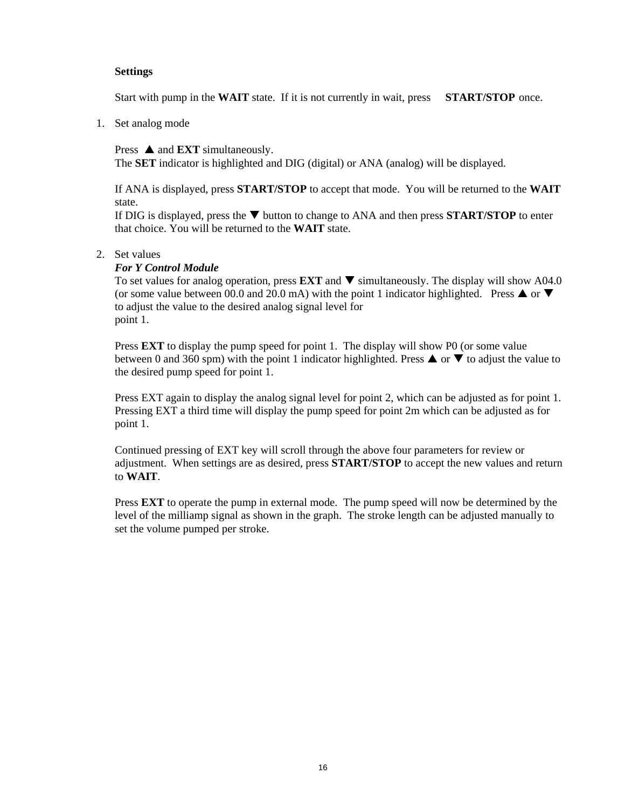#### **Settings**

Start with pump in the **WAIT** state. If it is not currently in wait, press **START/STOP** once.

1. Set analog mode

Press  $\triangle$  and **EXT** simultaneously.

The **SET** indicator is highlighted and DIG (digital) or ANA (analog) will be displayed.

If ANA is displayed, press **START/STOP** to accept that mode. You will be returned to the **WAIT** state.

If DIG is displayed, press the T button to change to ANA and then press **START/STOP** to enter that choice. You will be returned to the **WAIT** state.

#### 2. Set values

#### *For Y Control Module*

To set values for analog operation, press **EXT** and ▼ simultaneously. The display will show A04.0 (or some value between 00.0 and 20.0 mA) with the point 1 indicator highlighted. Press  $\triangle$  or  $\nabla$ to adjust the value to the desired analog signal level for point 1.

Press **EXT** to display the pump speed for point 1. The display will show P0 (or some value between 0 and 360 spm) with the point 1 indicator highlighted. Press  $\triangle$  or  $\nabla$  to adjust the value to the desired pump speed for point 1.

Press EXT again to display the analog signal level for point 2, which can be adjusted as for point 1. Pressing EXT a third time will display the pump speed for point 2m which can be adjusted as for point 1.

Continued pressing of EXT key will scroll through the above four parameters for review or adjustment. When settings are as desired, press **START/STOP** to accept the new values and return to **WAIT**.

Press **EXT** to operate the pump in external mode. The pump speed will now be determined by the level of the milliamp signal as shown in the graph. The stroke length can be adjusted manually to set the volume pumped per stroke.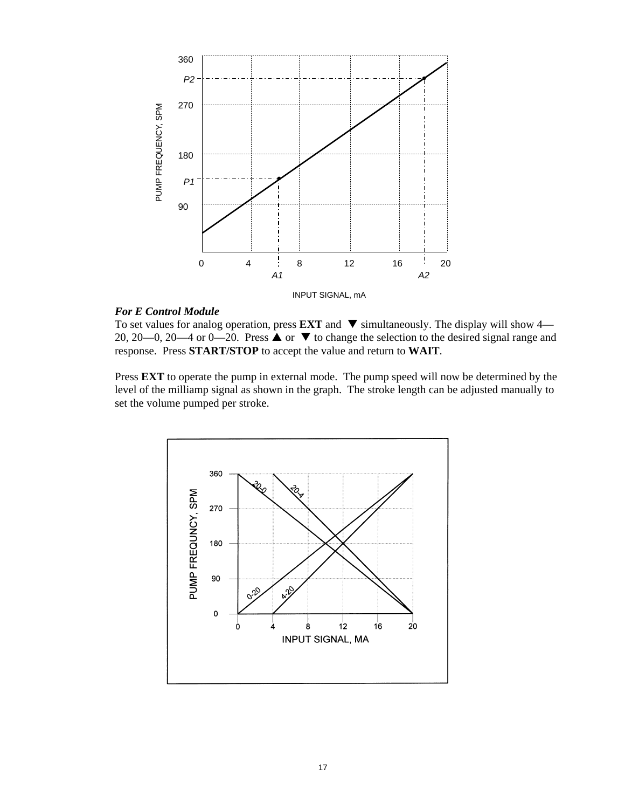

#### *For E Control Module*

To set values for analog operation, press **EXT** and  $\blacktriangledown$  simultaneously. The display will show 4— 20, 20—0, 20—4 or 0—20. Press  $\triangle$  or  $\nabla$  to change the selection to the desired signal range and response. Press **START/STOP** to accept the value and return to **WAIT**.

Press **EXT** to operate the pump in external mode. The pump speed will now be determined by the level of the milliamp signal as shown in the graph. The stroke length can be adjusted manually to set the volume pumped per stroke.

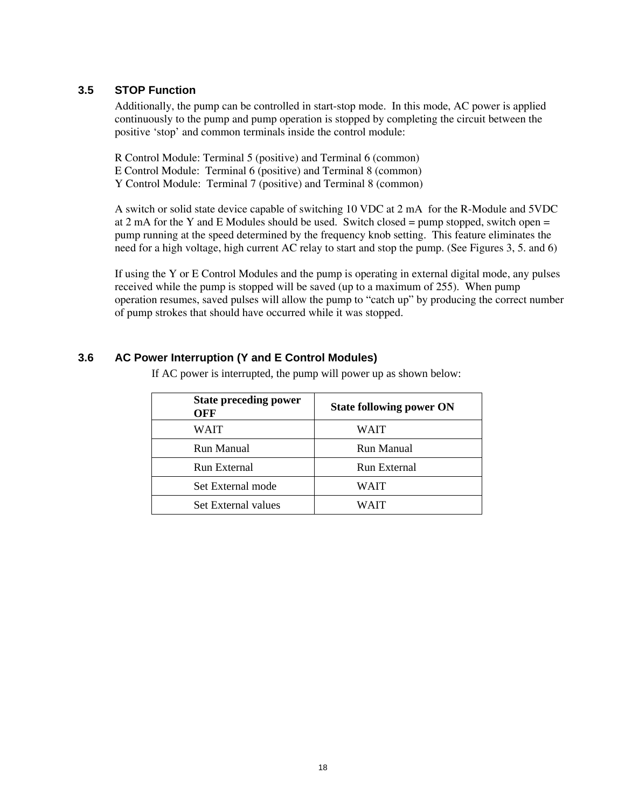#### **3.5 STOP Function**

Additionally, the pump can be controlled in start-stop mode. In this mode, AC power is applied continuously to the pump and pump operation is stopped by completing the circuit between the positive 'stop' and common terminals inside the control module:

R Control Module: Terminal 5 (positive) and Terminal 6 (common) E Control Module: Terminal 6 (positive) and Terminal 8 (common) Y Control Module: Terminal 7 (positive) and Terminal 8 (common)

A switch or solid state device capable of switching 10 VDC at 2 mA for the R-Module and 5VDC at 2 mA for the Y and E Modules should be used. Switch closed = pump stopped, switch open = pump running at the speed determined by the frequency knob setting. This feature eliminates the need for a high voltage, high current AC relay to start and stop the pump. (See Figures 3, 5. and 6)

If using the Y or E Control Modules and the pump is operating in external digital mode, any pulses received while the pump is stopped will be saved (up to a maximum of 255). When pump operation resumes, saved pulses will allow the pump to "catch up" by producing the correct number of pump strokes that should have occurred while it was stopped.

## **3.6 AC Power Interruption (Y and E Control Modules)**

If AC power is interrupted, the pump will power up as shown below:

| <b>State preceding power</b><br><b>OFF</b> | <b>State following power ON</b> |
|--------------------------------------------|---------------------------------|
| WAIT                                       | WAIT                            |
| Run Manual                                 | Run Manual                      |
| Run External                               | Run External                    |
| Set External mode                          | WAIT                            |
| Set External values                        | WAIT                            |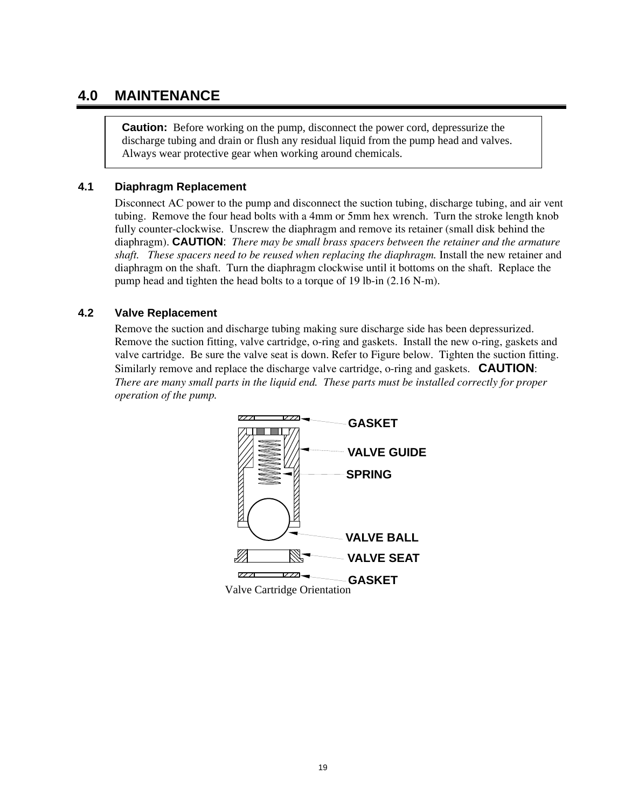## **4.0 MAINTENANCE**

**Caution:** Before working on the pump, disconnect the power cord, depressurize the discharge tubing and drain or flush any residual liquid from the pump head and valves. Always wear protective gear when working around chemicals.

#### **4.1 Diaphragm Replacement**

Disconnect AC power to the pump and disconnect the suction tubing, discharge tubing, and air vent tubing. Remove the four head bolts with a 4mm or 5mm hex wrench. Turn the stroke length knob fully counter-clockwise. Unscrew the diaphragm and remove its retainer (small disk behind the diaphragm). **CAUTION**: *There may be small brass spacers between the retainer and the armature shaft. These spacers need to be reused when replacing the diaphragm.* Install the new retainer and diaphragm on the shaft. Turn the diaphragm clockwise until it bottoms on the shaft. Replace the pump head and tighten the head bolts to a torque of 19 lb-in (2.16 N-m).

## **4.2 Valve Replacement**

Remove the suction and discharge tubing making sure discharge side has been depressurized. Remove the suction fitting, valve cartridge, o-ring and gaskets. Install the new o-ring, gaskets and valve cartridge. Be sure the valve seat is down. Refer to Figure below. Tighten the suction fitting. Similarly remove and replace the discharge valve cartridge, o-ring and gaskets. **CAUTION**: *There are many small parts in the liquid end. These parts must be installed correctly for proper operation of the pump.*

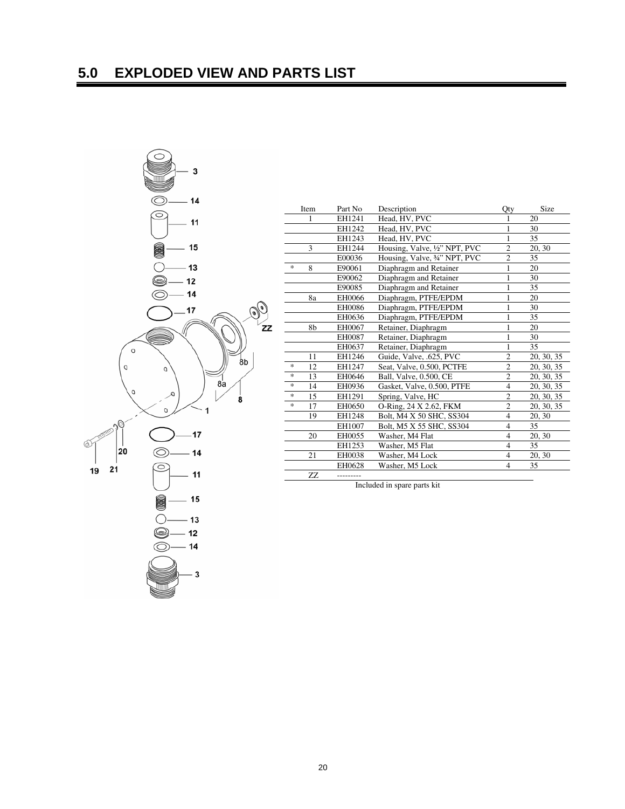

| Item                | Part No    | Description                   | Qty                      | Size       |
|---------------------|------------|-------------------------------|--------------------------|------------|
| 1                   | EH1241     | Head, HV, PVC                 | 1                        | 20         |
|                     | EH1242     | Head, HV, PVC                 | $\mathbf{1}$             | 30         |
|                     | EH1243     | Head, HV, PVC                 | 1                        | 35         |
| 3                   | EH1244     | Housing, Valve, 1/2" NPT, PVC | $\overline{c}$           | 20, 30     |
|                     | E00036     | Housing, Valve, 3/4" NPT, PVC | $\overline{c}$           | 35         |
| $\frac{1}{2}$<br>8  | E90061     | Diaphragm and Retainer        | 1                        | 20         |
|                     | E90062     | Diaphragm and Retainer        | 1                        | 30         |
|                     | E90085     | Diaphragm and Retainer        | 1                        | 35         |
| 8a                  | EH0066     | Diaphragm, PTFE/EPDM          | 1                        | 20         |
|                     | EH0086     | Diaphragm, PTFE/EPDM          | 1                        | 30         |
|                     | EH0636     | Diaphragm, PTFE/EPDM          | 1                        | 35         |
| 8b                  | EH0067     | Retainer, Diaphragm           | 1                        | 20         |
|                     | EH0087     | Retainer, Diaphragm           | 1                        | 30         |
|                     | EH0637     | Retainer, Diaphragm           | 1                        | 35         |
| 11                  | EH1246     | Guide, Valve, .625, PVC       | $\overline{2}$           | 20, 30, 35 |
| $\ast$<br>12        | EH1247     | Seat, Valve, 0.500, PCTFE     | $\overline{2}$           | 20, 30, 35 |
| $\ast$<br>13        | EH0646     | Ball, Valve, 0.500, CE        | $\mathfrak{2}$           | 20, 30, 35 |
| $\frac{1}{2}$<br>14 | EH0936     | Gasket, Valve, 0.500, PTFE    | $\overline{4}$           | 20, 30, 35 |
| $\ast$<br>15        | EH1291     | Spring, Valve, HC             | $\overline{c}$           | 20, 30, 35 |
| $\ast$<br>17        | EH0650     | O-Ring, 24 X 2.62, FKM        | $\overline{c}$           | 20, 30, 35 |
| 19                  | EH1248     | Bolt, M4 X 50 SHC, SS304      | $\overline{4}$           | 20, 30     |
|                     | EH1007     | Bolt, M5 X 55 SHC, SS304      | $\overline{4}$           | 35         |
| 20                  | EH0055     | Washer, M4 Flat               | $\overline{4}$           | 20, 30     |
|                     | EH1253     | Washer, M5 Flat               | $\overline{4}$           | 35         |
| 21                  | EH0038     | Washer, M4 Lock               | 4                        | 20, 30     |
|                     | EH0628     | Washer, M5 Lock               | $\overline{\mathcal{L}}$ | 35         |
| ZZ                  | ---------- |                               |                          |            |

Included in spare parts kit